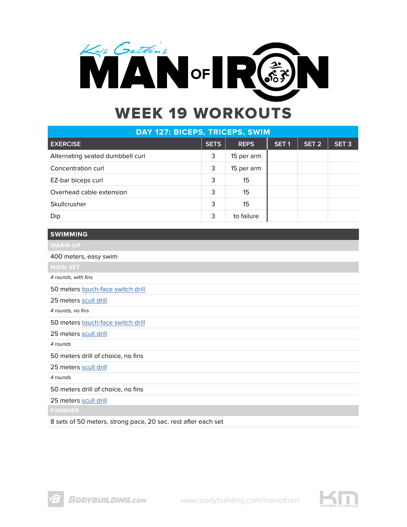

| DAY 127: BICEPS, TRICEPS, SWIM   |             |             |                  |                  |                  |  |
|----------------------------------|-------------|-------------|------------------|------------------|------------------|--|
| <b>EXERCISE</b>                  | <b>SETS</b> | <b>REPS</b> | SET <sub>1</sub> | SET <sub>2</sub> | SET <sub>3</sub> |  |
| Alternating seated dumbbell curl | 3           | 15 per arm  |                  |                  |                  |  |
| Concentration curl               | 3           | 15 per arm  |                  |                  |                  |  |
| EZ-bar biceps curl               | 3           | 15          |                  |                  |                  |  |
| Overhead cable extension         | 3           | 15          |                  |                  |                  |  |
| Skullcrusher                     | 3           | 15          |                  |                  |                  |  |
| Dip                              | 3           | to failure  |                  |                  |                  |  |

**SWIMMING**

400 meters, easy swim

4 rounds, with fins

50 meters [touch-face switch drill](https://www.youtube.com/watch?v=Xj7ad_CsFZY)

25 meters [scull drill](https://www.youtube.com/watch?v=OKsmw6Sq2Pg)

4 rounds, no fins

50 meters [touch-face switch drill](https://www.youtube.com/watch?v=Xj7ad_CsFZY)

25 meters [scull drill](https://www.youtube.com/watch?v=OKsmw6Sq2Pg)

4 rounds

50 meters drill of choice, no fins

25 meters [scull drill](https://www.youtube.com/watch?v=OKsmw6Sq2Pg)

4 rounds

50 meters drill of choice, no fins

25 meters [scull drill](https://www.youtube.com/watch?v=OKsmw6Sq2Pg)

8 sets of 50 meters, strong pace, 20 sec. rest after each set

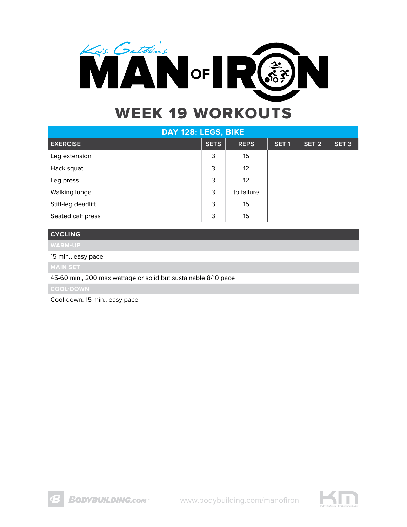

| DAY 128: LEGS, BIKE |             |                   |                  |                  |                  |  |
|---------------------|-------------|-------------------|------------------|------------------|------------------|--|
| <b>EXERCISE</b>     | <b>SETS</b> | <b>REPS</b>       | SET <sub>1</sub> | SET <sub>2</sub> | SET <sub>3</sub> |  |
| Leg extension       | 3           | 15                |                  |                  |                  |  |
| Hack squat          | 3           | $12 \overline{ }$ |                  |                  |                  |  |
| Leg press           | 3           | 12                |                  |                  |                  |  |
| Walking lunge       | 3           | to failure        |                  |                  |                  |  |
| Stiff-leg deadlift  | 3           | 15                |                  |                  |                  |  |
| Seated calf press   | 3           | 15                |                  |                  |                  |  |

### **CYCLING**

15 min., easy pace

45-60 min., 200 max wattage or solid but sustainable 8/10 pace

Cool-down: 15 min., easy pace

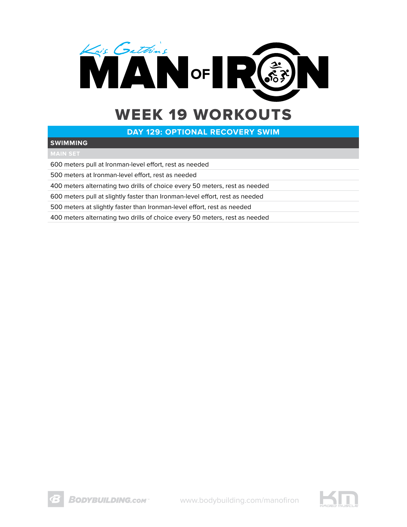

### **DAY 129: OPTIONAL RECOVERY SWIM**

#### **SWIMMING**

600 meters pull at Ironman-level effort, rest as needed

500 meters at Ironman-level effort, rest as needed

400 meters alternating two drills of choice every 50 meters, rest as needed

600 meters pull at slightly faster than Ironman-level effort, rest as needed

500 meters at slightly faster than Ironman-level effort, rest as needed

400 meters alternating two drills of choice every 50 meters, rest as needed

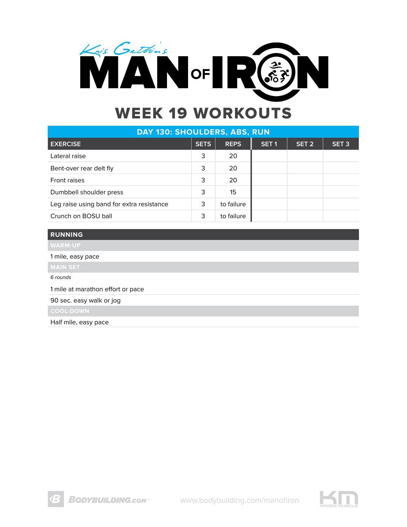

| DAY 130: SHOULDERS, ABS, RUN              |             |             |                  |                  |                  |  |  |
|-------------------------------------------|-------------|-------------|------------------|------------------|------------------|--|--|
| <b>EXERCISE</b>                           | <b>SETS</b> | <b>REPS</b> | SET <sub>1</sub> | SET <sub>2</sub> | SET <sub>3</sub> |  |  |
| Lateral raise                             | 3           | 20          |                  |                  |                  |  |  |
| Bent-over rear delt fly                   | 3           | 20          |                  |                  |                  |  |  |
| Front raises                              | 3           | 20          |                  |                  |                  |  |  |
| Dumbbell shoulder press                   | 3           | 15          |                  |                  |                  |  |  |
| Leg raise using band for extra resistance | 3           | to failure  |                  |                  |                  |  |  |
| Crunch on BOSU ball                       | 3           | to failure  |                  |                  |                  |  |  |

### **RUNNING**

1 mile, easy pace

6 rounds

1 mile at marathon effort or pace

90 sec. easy walk or jog

Half mile, easy pace

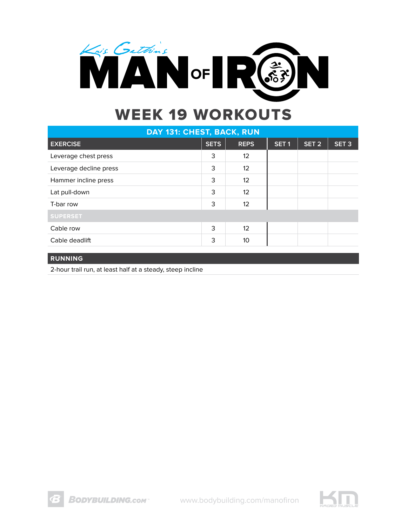

| DAY 131: CHEST, BACK, RUN |             |                   |                  |                  |                  |  |
|---------------------------|-------------|-------------------|------------------|------------------|------------------|--|
| <b>EXERCISE</b>           | <b>SETS</b> | <b>REPS</b>       | SET <sub>1</sub> | SET <sub>2</sub> | SET <sub>3</sub> |  |
| Leverage chest press      | 3           | 12                |                  |                  |                  |  |
| Leverage decline press    | 3           | 12 <sup>2</sup>   |                  |                  |                  |  |
| Hammer incline press      | 3           | 12                |                  |                  |                  |  |
| Lat pull-down             | 3           | $12 \overline{ }$ |                  |                  |                  |  |
| T-bar row                 | 3           | 12                |                  |                  |                  |  |
| <b>SUPERSET</b>           |             |                   |                  |                  |                  |  |
| Cable row                 | 3           | 12                |                  |                  |                  |  |
| Cable deadlift            | 3           | 10 <sup>°</sup>   |                  |                  |                  |  |
|                           |             |                   |                  |                  |                  |  |

#### **RUNNING**

2-hour trail run, at least half at a steady, steep incline